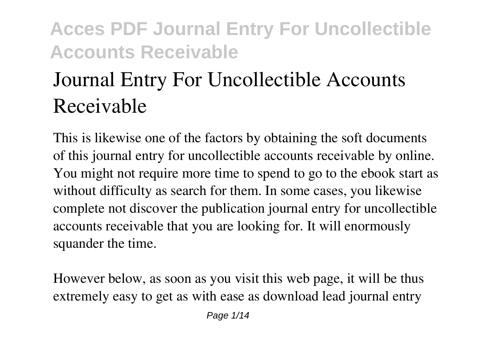# **Journal Entry For Uncollectible Accounts Receivable**

This is likewise one of the factors by obtaining the soft documents of this **journal entry for uncollectible accounts receivable** by online. You might not require more time to spend to go to the ebook start as without difficulty as search for them. In some cases, you likewise complete not discover the publication journal entry for uncollectible accounts receivable that you are looking for. It will enormously squander the time.

However below, as soon as you visit this web page, it will be thus extremely easy to get as with ease as download lead journal entry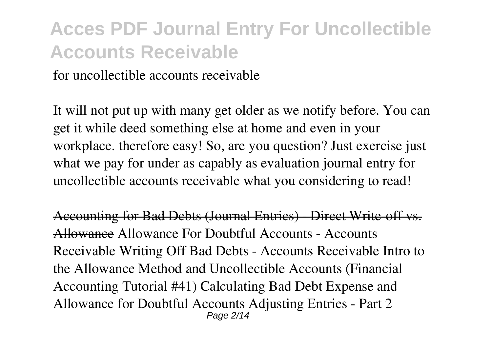for uncollectible accounts receivable

It will not put up with many get older as we notify before. You can get it while deed something else at home and even in your workplace. therefore easy! So, are you question? Just exercise just what we pay for under as capably as evaluation **journal entry for uncollectible accounts receivable** what you considering to read!

Accounting for Bad Debts (Journal Entries) - Direct Write-off vs. Allowance *Allowance For Doubtful Accounts - Accounts Receivable* Writing Off Bad Debts - Accounts Receivable **Intro to the Allowance Method and Uncollectible Accounts (Financial Accounting Tutorial #41) Calculating Bad Debt Expense and Allowance for Doubtful Accounts** *Adjusting Entries - Part 2* Page  $2/14$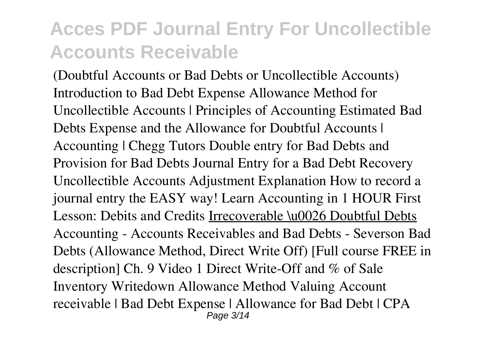*(Doubtful Accounts or Bad Debts or Uncollectible Accounts) Introduction to Bad Debt Expense* **Allowance Method for Uncollectible Accounts | Principles of Accounting** *Estimated Bad Debts Expense and the Allowance for Doubtful Accounts | Accounting | Chegg Tutors Double entry for Bad Debts and Provision for Bad Debts Journal Entry for a Bad Debt Recovery* Uncollectible Accounts Adjustment Explanation **How to record a journal entry the EASY way! Learn Accounting in 1 HOUR First Lesson: Debits and Credits** Irrecoverable \u0026 Doubtful Debts Accounting - Accounts Receivables and Bad Debts - Severson *Bad Debts (Allowance Method, Direct Write Off) [Full course FREE in description]* Ch. 9 Video 1 Direct Write-Off and % of Sale *Inventory Writedown Allowance Method Valuing Account receivable | Bad Debt Expense | Allowance for Bad Debt | CPA* Page 3/14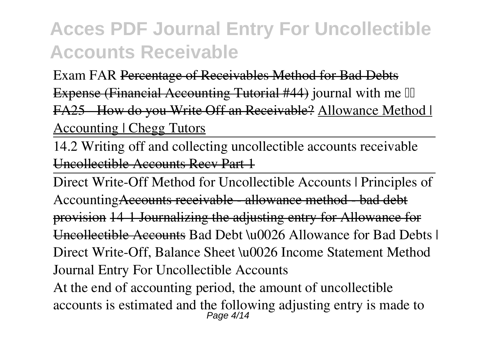*Exam FAR* Percentage of Receivables Method for Bad Debts Expense (Financial Accounting Tutorial #44) *journal with me*  FA25 How do you Write Off an Receivable? Allowance Method | Accounting | Chegg Tutors

14.2 Writing off and collecting uncollectible accounts receivable Uncollectible Accounts Recv Part 1

Direct Write-Off Method for Uncollectible Accounts | Principles of Accounting<del>Accounts receivable allowance method bad debt</del> provision 14-1 Journalizing the adjusting entry for Allowance for Uncollectible Accounts Bad Debt \u0026 Allowance for Bad Debts | Direct Write-Off, Balance Sheet \u0026 Income Statement Method **Journal Entry For Uncollectible Accounts** At the end of accounting period, the amount of uncollectible accounts is estimated and the following adjusting entry is made to Page 4/14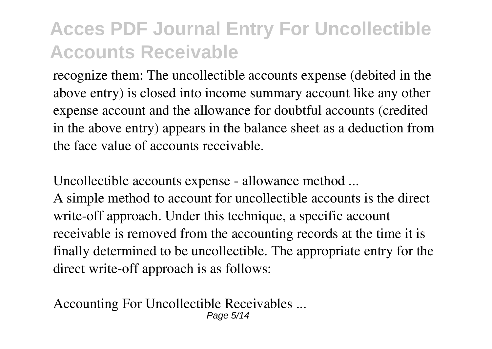recognize them: The uncollectible accounts expense (debited in the above entry) is closed into income summary account like any other expense account and the allowance for doubtful accounts (credited in the above entry) appears in the balance sheet as a deduction from the face value of accounts receivable.

**Uncollectible accounts expense - allowance method ...**

A simple method to account for uncollectible accounts is the direct write-off approach. Under this technique, a specific account receivable is removed from the accounting records at the time it is finally determined to be uncollectible. The appropriate entry for the direct write-off approach is as follows:

**Accounting For Uncollectible Receivables ...** Page 5/14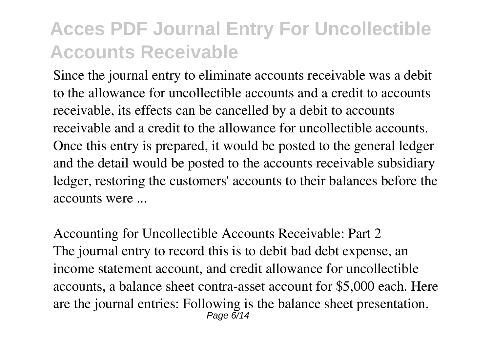Since the journal entry to eliminate accounts receivable was a debit to the allowance for uncollectible accounts and a credit to accounts receivable, its effects can be cancelled by a debit to accounts receivable and a credit to the allowance for uncollectible accounts. Once this entry is prepared, it would be posted to the general ledger and the detail would be posted to the accounts receivable subsidiary ledger, restoring the customers' accounts to their balances before the accounts were ...

**Accounting for Uncollectible Accounts Receivable: Part 2** The journal entry to record this is to debit bad debt expense, an income statement account, and credit allowance for uncollectible accounts, a balance sheet contra-asset account for \$5,000 each. Here are the journal entries: Following is the balance sheet presentation. Page 6/14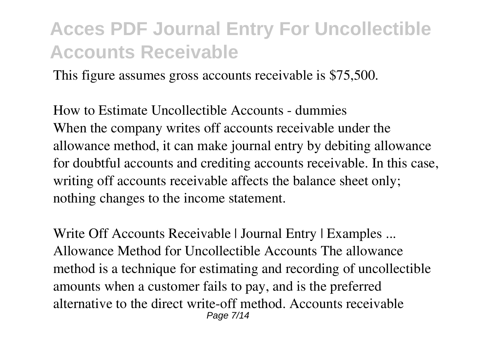This figure assumes gross accounts receivable is \$75,500.

**How to Estimate Uncollectible Accounts - dummies** When the company writes off accounts receivable under the allowance method, it can make journal entry by debiting allowance for doubtful accounts and crediting accounts receivable. In this case, writing off accounts receivable affects the balance sheet only; nothing changes to the income statement.

**Write Off Accounts Receivable | Journal Entry | Examples ...** Allowance Method for Uncollectible Accounts The allowance method is a technique for estimating and recording of uncollectible amounts when a customer fails to pay, and is the preferred alternative to the direct write-off method. Accounts receivable Page 7/14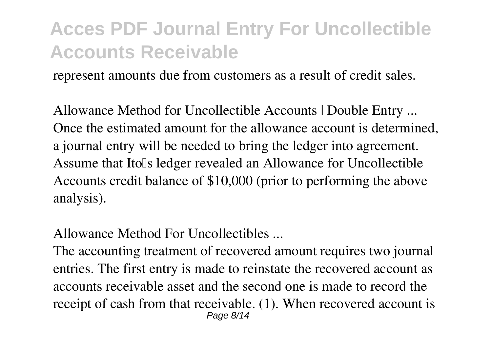represent amounts due from customers as a result of credit sales.

**Allowance Method for Uncollectible Accounts | Double Entry ...** Once the estimated amount for the allowance account is determined, a journal entry will be needed to bring the ledger into agreement. Assume that Ito<sup>'s</sup> ledger revealed an Allowance for Uncollectible Accounts credit balance of \$10,000 (prior to performing the above analysis).

**Allowance Method For Uncollectibles ...**

The accounting treatment of recovered amount requires two journal entries. The first entry is made to reinstate the recovered account as accounts receivable asset and the second one is made to record the receipt of cash from that receivable. (1). When recovered account is Page 8/14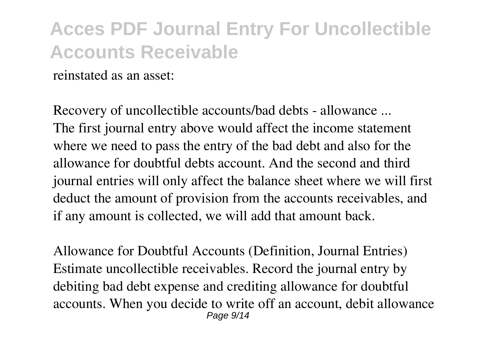reinstated as an asset:

**Recovery of uncollectible accounts/bad debts - allowance ...** The first journal entry above would affect the income statement where we need to pass the entry of the bad debt and also for the allowance for doubtful debts account. And the second and third journal entries will only affect the balance sheet where we will first deduct the amount of provision from the accounts receivables, and if any amount is collected, we will add that amount back.

**Allowance for Doubtful Accounts (Definition, Journal Entries)** Estimate uncollectible receivables. Record the journal entry by debiting bad debt expense and crediting allowance for doubtful accounts. When you decide to write off an account, debit allowance Page 9/14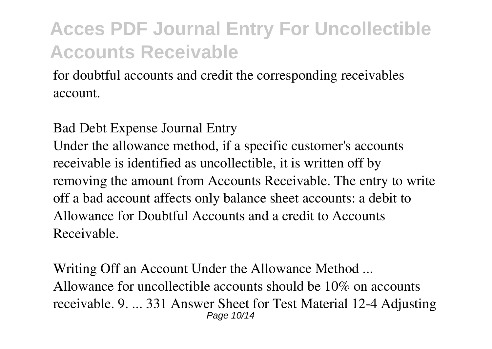for doubtful accounts and credit the corresponding receivables account.

**Bad Debt Expense Journal Entry**

Under the allowance method, if a specific customer's accounts receivable is identified as uncollectible, it is written off by removing the amount from Accounts Receivable. The entry to write off a bad account affects only balance sheet accounts: a debit to Allowance for Doubtful Accounts and a credit to Accounts Receivable.

**Writing Off an Account Under the Allowance Method ...** Allowance for uncollectible accounts should be 10% on accounts receivable. 9. ... 331 Answer Sheet for Test Material 12-4 Adjusting Page 10/14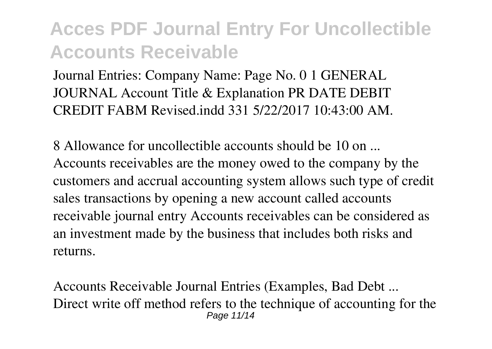Journal Entries: Company Name: Page No. 0 1 GENERAL JOURNAL Account Title & Explanation PR DATE DEBIT CREDIT FABM Revised.indd 331 5/22/2017 10:43:00 AM.

**8 Allowance for uncollectible accounts should be 10 on ...** Accounts receivables are the money owed to the company by the customers and accrual accounting system allows such type of credit sales transactions by opening a new account called accounts receivable journal entry Accounts receivables can be considered as an investment made by the business that includes both risks and returns.

**Accounts Receivable Journal Entries (Examples, Bad Debt ...** Direct write off method refers to the technique of accounting for the Page 11/14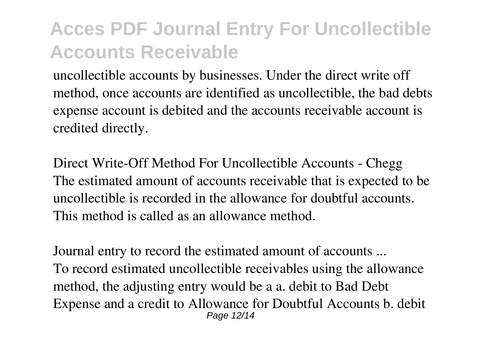uncollectible accounts by businesses. Under the direct write off method, once accounts are identified as uncollectible, the bad debts expense account is debited and the accounts receivable account is credited directly.

**Direct Write-Off Method For Uncollectible Accounts - Chegg** The estimated amount of accounts receivable that is expected to be uncollectible is recorded in the allowance for doubtful accounts. This method is called as an allowance method.

**Journal entry to record the estimated amount of accounts ...** To record estimated uncollectible receivables using the allowance method, the adjusting entry would be a a. debit to Bad Debt Expense and a credit to Allowance for Doubtful Accounts b. debit Page 12/14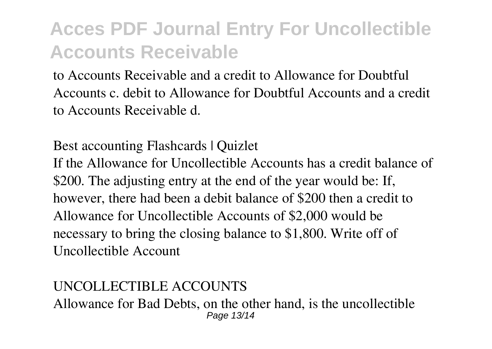to Accounts Receivable and a credit to Allowance for Doubtful Accounts c. debit to Allowance for Doubtful Accounts and a credit to Accounts Receivable d.

**Best accounting Flashcards | Quizlet**

If the Allowance for Uncollectible Accounts has a credit balance of \$200. The adjusting entry at the end of the year would be: If, however, there had been a debit balance of \$200 then a credit to Allowance for Uncollectible Accounts of \$2,000 would be necessary to bring the closing balance to \$1,800. Write off of Uncollectible Account

**UNCOLLECTIBLE ACCOUNTS** Allowance for Bad Debts, on the other hand, is the uncollectible Page 13/14